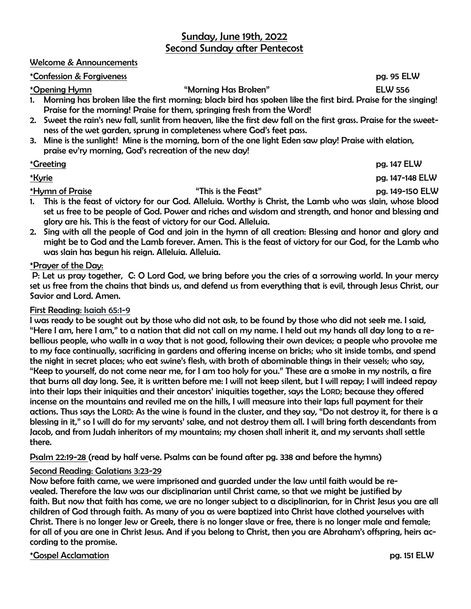## Sunday, June 19th, 2022 Second Sunday after Pentecost

#### Welcome & Announcements

#### \*Confession & Forgiveness pg. 95 ELW

\*Opening Hymn "Morning Has Broken" ELW 556

1. Morning has broken like the first morning; black bird has spoken like the first bird. Praise for the singing! Praise for the morning! Praise for them, springing fresh from the Word!

- 2. Sweet the rain's new fall, sunlit from heaven, like the first dew fall on the first grass. Praise for the sweetness of the wet garden, sprung in completeness where God's feet pass.
- 3. Mine is the sunlight! Mine is the morning, born of the one light Eden saw play! Praise with elation, praise ev'ry morning, God's recreation of the new day!

#### \*Greeting pg. 147 ELW

\*Kyrie pg. 147-148 ELW

#### \*Hymn of Praise "This is the Feast" pg. 149-150 ELW

- 1. This is the feast of victory for our God. Alleluia. Worthy is Christ, the Lamb who was slain, whose blood set us free to be people of God. Power and riches and wisdom and strength, and honor and blessing and glory are his. This is the feast of victory for our God. Alleluia.
- 2. Sing with all the people of God and join in the hymn of all creation: Blessing and honor and glory and might be to God and the Lamb forever. Amen. This is the feast of victory for our God, for the Lamb who was slain has begun his reign. Alleluia. Alleluia.

#### \*Prayer of the Day:

P: Let us pray together, C: O Lord God, we bring before you the cries of a sorrowing world. In your mercy set us free from the chains that binds us, and defend us from everything that is evil, through Jesus Christ, our Savior and Lord. Amen.

#### First Reading: Isaiah 65:1-9

I was ready to be sought out by those who did not ask, to be found by those who did not seek me. I said, "Here I am, here I am," to a nation that did not call on my name. I held out my hands all day long to a rebellious people, who walk in a way that is not good, following their own devices; a people who provoke me to my face continually, sacrificing in gardens and offering incense on bricks; who sit inside tombs, and spend the night in secret places; who eat swine's flesh, with broth of abominable things in their vessels; who say, "Keep to yourself, do not come near me, for I am too holy for you." These are a smoke in my nostrils, a fire that burns all day long. See, it is written before me: I will not keep silent, but I will repay; I will indeed repay into their laps their iniquities and their ancestors' iniquities together, says the LORD; because they offered incense on the mountains and reviled me on the hills, I will measure into their laps full payment for their actions. Thus says the LORD: As the wine is found in the cluster, and they say, "Do not destroy it, for there is a blessing in it," so I will do for my servants' sake, and not destroy them all. I will bring forth descendants from Jacob, and from Judah inheritors of my mountains; my chosen shall inherit it, and my servants shall settle there.

Psalm 22:19-28 (read by half verse. Psalms can be found after pg. 338 and before the hymns)

#### Second Reading: Galatians 3:23-29

Now before faith came, we were imprisoned and guarded under the law until faith would be revealed. Therefore the law was our disciplinarian until Christ came, so that we might be justified by faith. But now that faith has come, we are no longer subject to a disciplinarian, for in Christ Jesus you are all children of God through faith. As many of you as were baptized into Christ have clothed yourselves with Christ. There is no longer Jew or Greek, there is no longer slave or free, there is no longer male and female; for all of you are one in Christ Jesus. And if you belong to Christ, then you are Abraham's offspring, heirs according to the promise.

\*Gospel Acclamation pg. 151 ELW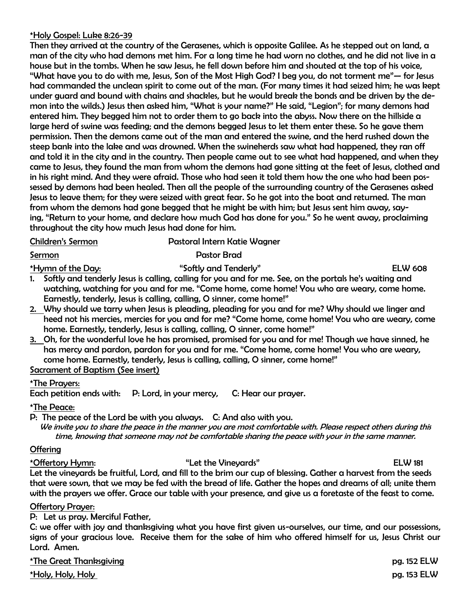#### \*Holy Gospel: Luke 8:26-39

Then they arrived at the country of the Gerasenes, which is opposite Galilee. As he stepped out on land, a man of the city who had demons met him. For a long time he had worn no clothes, and he did not live in a house but in the tombs. When he saw Jesus, he fell down before him and shouted at the top of his voice, "What have you to do with me, Jesus, Son of the Most High God? I beg you, do not torment me"— for Jesus had commanded the unclean spirit to come out of the man. (For many times it had seized him; he was kept under guard and bound with chains and shackles, but he would break the bonds and be driven by the demon into the wilds.) Jesus then asked him, "What is your name?" He said, "Legion"; for many demons had entered him. They begged him not to order them to go back into the abyss. Now there on the hillside a large herd of swine was feeding; and the demons begged Jesus to let them enter these. So he gave them permission. Then the demons came out of the man and entered the swine, and the herd rushed down the steep bank into the lake and was drowned. When the swineherds saw what had happened, they ran off and told it in the city and in the country. Then people came out to see what had happened, and when they came to Jesus, they found the man from whom the demons had gone sitting at the feet of Jesus, clothed and in his right mind. And they were afraid. Those who had seen it told them how the one who had been possessed by demons had been healed. Then all the people of the surrounding country of the Gerasenes asked Jesus to leave them; for they were seized with great fear. So he got into the boat and returned. The man from whom the demons had gone begged that he might be with him; but Jesus sent him away, saying, "Return to your home, and declare how much God has done for you." So he went away, proclaiming throughout the city how much Jesus had done for him.

| <b>Children's Sermon</b> | Pastoral Intern Katie Wagner |
|--------------------------|------------------------------|
|                          |                              |

## Sermon **Pastor Brad**

\*Hymn of the Day: "Softly and Tenderly" ELW 608

- 1. Softly and tenderly Jesus is calling, calling for you and for me. See, on the portals he's waiting and watching, watching for you and for me. "Come home, come home! You who are weary, come home. Earnestly, tenderly, Jesus is calling, calling, O sinner, come home!"
- 2. Why should we tarry when Jesus is pleading, pleading for you and for me? Why should we linger and heed not his mercies, mercies for you and for me? "Come home, come home! You who are weary, come home. Earnestly, tenderly, Jesus is calling, calling, O sinner, come home!"
- 3. Oh, for the wonderful love he has promised, promised for you and for me! Though we have sinned, he has mercy and pardon, pardon for you and for me. "Come home, come home! You who are weary, come home. Earnestly, tenderly, Jesus is calling, calling, O sinner, come home!" Sacrament of Baptism (See insert)

# \*The Prayers:

Each petition ends with: P: Lord, in your mercy, C: Hear our prayer.

#### \*The Peace:

P: The peace of the Lord be with you always. C: And also with you. We invite you to share the peace in the manner you are most comfortable with. Please respect others during this time, knowing that someone may not be comfortable sharing the peace with your in the same manner.

#### **Offering**

\*Offertory Hymn: "Let the Vineyards" ELW 181 Let the vineyards be fruitful, Lord, and fill to the brim our cup of blessing. Gather a harvest from the seeds that were sown, that we may be fed with the bread of life. Gather the hopes and dreams of all; unite them with the prayers we offer. Grace our table with your presence, and give us a foretaste of the feast to come.

#### Offertory Prayer:

P: Let us pray. Merciful Father,

C: we offer with joy and thanksgiving what you have first given us-ourselves, our time, and our possessions, signs of your gracious love. Receive them for the sake of him who offered himself for us, Jesus Christ our Lord. Amen.

\*The Great Thanksgiving pg. 152 ELW \*Holy, Holy, Holy pg. 153 ELW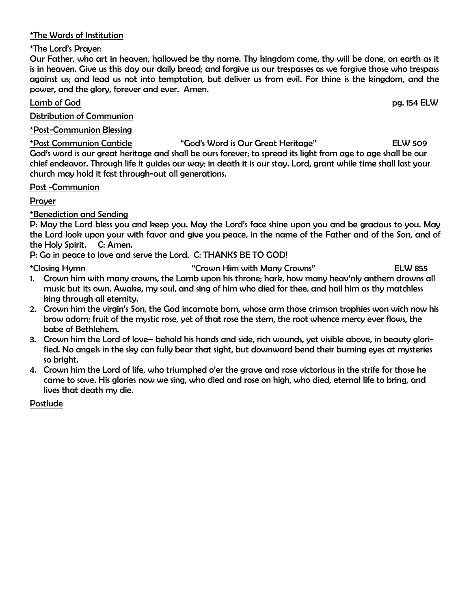## \*The Words of Institution

#### \*The Lord's Prayer:

Our Father, who art in heaven, hallowed be thy name. Thy kingdom come, thy will be done, on earth as it is in heaven. Give us this day our daily bread; and forgive us our trespasses as we forgive those who trespass against us; and lead us not into temptation, but deliver us from evil. For thine is the kingdom, and the power, and the glory, forever and ever. Amen.

## Lamb of God pg. 154 ELW

Distribution of Communion

#### \*Post-Communion Blessing

\*Post Communion Canticle "God's Word is Our Great Heritage" ELW 509 God's word is our great heritage and shall be ours forever; to spread its light from age to age shall be our chief endeavor. Through life it guides our way; in death it is our stay. Lord, grant while time shall last your church may hold it fast through-out all generations.

#### Post -Communion

## Prayer

## \*Benediction and Sending

P: May the Lord bless you and keep you. May the Lord's face shine upon you and be gracious to you. May the Lord look upon your with favor and give you peace, in the name of the Father and of the Son, and of the Holy Spirit. C: Amen.

P: Go in peace to love and serve the Lord. C: THANKS BE TO GOD!

\*Closing Hymn The Crown Him with Many Crowns"

- 1. Crown him with many crowns, the Lamb upon his throne; hark, how many heav'nly anthem drowns all music but its own. Awake, my soul, and sing of him who died for thee, and hail him as thy matchless king through all eternity.
- 2. Crown him the virgin's Son, the God incarnate born, whose arm those crimson trophies won wich now his brow adorn; fruit of the mystic rose, yet of that rose the stem, the root whence mercy ever flows, the babe of Bethlehem.
- 3. Crown him the Lord of love– behold his hands and side, rich wounds, yet visible above, in beauty glorified. No angels in the sky can fully bear that sight, but downward bend their burning eyes at mysteries so bright.
- 4. Crown him the Lord of life, who triumphed o'er the grave and rose victorious in the strife for those he came to save. His glories now we sing, who died and rose on high, who died, eternal life to bring, and lives that death my die.

## Postlude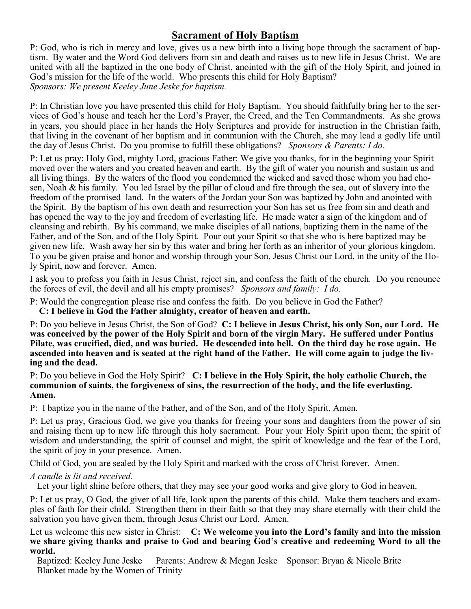# **Sacrament of Holy Baptism**

P: God, who is rich in mercy and love, gives us a new birth into a living hope through the sacrament of baptism. By water and the Word God delivers from sin and death and raises us to new life in Jesus Christ. We are united with all the baptized in the one body of Christ, anointed with the gift of the Holy Spirit, and joined in God's mission for the life of the world. Who presents this child for Holy Baptism? *Sponsors: We present Keeley June Jeske for baptism.*

P: In Christian love you have presented this child for Holy Baptism. You should faithfully bring her to the services of God's house and teach her the Lord's Prayer, the Creed, and the Ten Commandments. As she grows in years, you should place in her hands the Holy Scriptures and provide for instruction in the Christian faith, that living in the covenant of her baptism and in communion with the Church, she may lead a godly life until the day of Jesus Christ. Do you promise to fulfill these obligations? *Sponsors & Parents: I do.*

P: Let us pray: Holy God, mighty Lord, gracious Father: We give you thanks, for in the beginning your Spirit moved over the waters and you created heaven and earth. By the gift of water you nourish and sustain us and all living things. By the waters of the flood you condemned the wicked and saved those whom you had chosen, Noah & his family. You led Israel by the pillar of cloud and fire through the sea, out of slavery into the freedom of the promised land. In the waters of the Jordan your Son was baptized by John and anointed with the Spirit. By the baptism of his own death and resurrection your Son has set us free from sin and death and has opened the way to the joy and freedom of everlasting life. He made water a sign of the kingdom and of cleansing and rebirth. By his command, we make disciples of all nations, baptizing them in the name of the Father, and of the Son, and of the Holy Spirit. Pour out your Spirit so that she who is here baptized may be given new life. Wash away her sin by this water and bring her forth as an inheritor of your glorious kingdom. To you be given praise and honor and worship through your Son, Jesus Christ our Lord, in the unity of the Holy Spirit, now and forever. Amen.

I ask you to profess you faith in Jesus Christ, reject sin, and confess the faith of the church. Do you renounce the forces of evil, the devil and all his empty promises? *Sponsors and family: I do.*

P: Would the congregation please rise and confess the faith. Do you believe in God the Father?

 **C: I believe in God the Father almighty, creator of heaven and earth.**

P: Do you believe in Jesus Christ, the Son of God? **C: I believe in Jesus Christ, his only Son, our Lord. He was conceived by the power of the Holy Spirit and born of the virgin Mary. He suffered under Pontius Pilate, was crucified, died, and was buried. He descended into hell. On the third day he rose again. He ascended into heaven and is seated at the right hand of the Father. He will come again to judge the living and the dead.**

P: Do you believe in God the Holy Spirit? **C: I believe in the Holy Spirit, the holy catholic Church, the communion of saints, the forgiveness of sins, the resurrection of the body, and the life everlasting. Amen.**

P: I baptize you in the name of the Father, and of the Son, and of the Holy Spirit. Amen.

P: Let us pray, Gracious God, we give you thanks for freeing your sons and daughters from the power of sin and raising them up to new life through this holy sacrament. Pour your Holy Spirit upon them; the spirit of wisdom and understanding, the spirit of counsel and might, the spirit of knowledge and the fear of the Lord, the spirit of joy in your presence. Amen.

Child of God, you are sealed by the Holy Spirit and marked with the cross of Christ forever. Amen.

## *A candle is lit and received.*

Let your light shine before others, that they may see your good works and give glory to God in heaven.

P: Let us pray, O God, the giver of all life, look upon the parents of this child. Make them teachers and examples of faith for their child. Strengthen them in their faith so that they may share eternally with their child the salvation you have given them, through Jesus Christ our Lord. Amen.

Let us welcome this new sister in Christ: **C: We welcome you into the Lord's family and into the mission we share giving thanks and praise to God and bearing God's creative and redeeming Word to all the world.**

Baptized: Keeley June Jeske Parents: Andrew & Megan Jeske Sponsor: Bryan & Nicole Brite Blanket made by the Women of Trinity